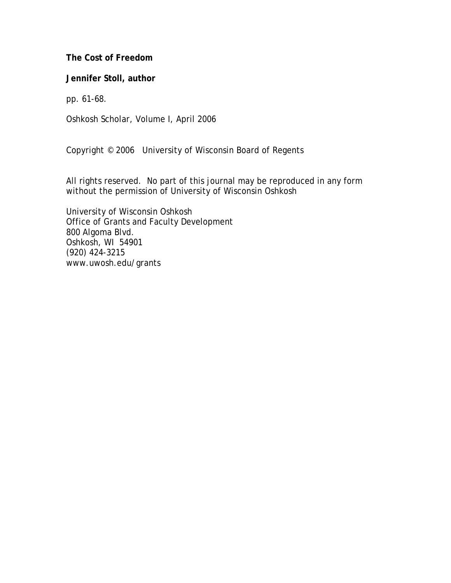**The Cost of Freedom** 

**Jennifer Stoll, author** 

pp. 61-68.

Oshkosh Scholar, Volume I, April 2006

Copyright © 2006 University of Wisconsin Board of Regents

All rights reserved. No part of this journal may be reproduced in any form without the permission of University of Wisconsin Oshkosh

University of Wisconsin Oshkosh Office of Grants and Faculty Development 800 Algoma Blvd. Oshkosh, WI 54901 (920) 424-3215 www.uwosh.edu/grants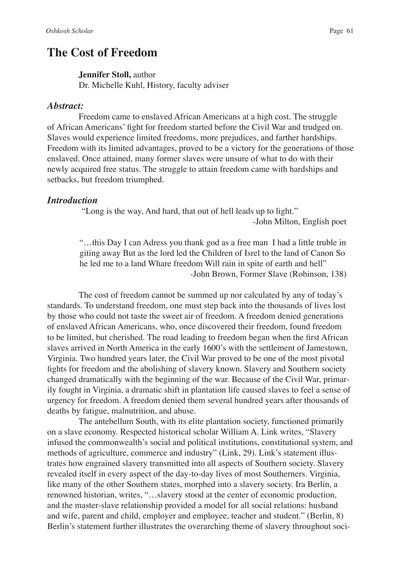# **The Cost of Freedom**

## **Jennifer Stoll,** author

Dr. Michelle Kuhl, History, faculty adviser

#### *Abstract:*

Freedom came to enslaved African Americans at a high cost. The struggle of African Americans' fight for freedom started before the Civil War and trudged on. Slaves would experience limited freedoms, more prejudices, and farther hardships. Freedom with its limited advantages, proved to be a victory for the generations of those enslaved. Once attained, many former slaves were unsure of what to do with their newly acquired free status. The struggle to attain freedom came with hardships and setbacks, but freedom triumphed.

# *Introduction*

 "Long is the way, And hard, that out of hell leads up to light." -John Milton, English poet

"…this Day I can Adress you thank god as a free man I had a little truble in giting away But as the lord led the Children of Isrel to the land of Canon So he led me to a land Whare freedom Will rain in spite of earth and hell" -John Brown, Former Slave (Robinson, 138)

The cost of freedom cannot be summed up nor calculated by any of today's standards. To understand freedom, one must step back into the thousands of lives lost by those who could not taste the sweet air of freedom. A freedom denied generations of enslaved African Americans, who, once discovered their freedom, found freedom to be limited, but cherished. The road leading to freedom began when the first African slaves arrived in North America in the early 1600's with the settlement of Jamestown, Virginia. Two hundred years later, the Civil War proved to be one of the most pivotal fights for freedom and the abolishing of slavery known. Slavery and Southern society changed dramatically with the beginning of the war. Because of the Civil War, primarily fought in Virginia, a dramatic shift in plantation life caused slaves to feel a sense of urgency for freedom. A freedom denied them several hundred years after thousands of deaths by fatigue, malnutrition, and abuse.

The antebellum South, with its elite plantation society, functioned primarily on a slave economy. Respected historical scholar William A. Link writes, "Slavery infused the commonwealth's social and political institutions, constitutional system, and methods of agriculture, commerce and industry" (Link, 29). Link's statement illustrates how engrained slavery transmitted into all aspects of Southern society. Slavery revealed itself in every aspect of the day-to-day lives of most Southerners. Virginia, like many of the other Southern states, morphed into a slavery society. Ira Berlin, a renowned historian, writes, "…slavery stood at the center of economic production, and the master-slave relationship provided a model for all social relations: husband and wife, parent and child, employer and employee, teacher and student." (Berlin, 8) Berlin's statement further illustrates the overarching theme of slavery throughout soci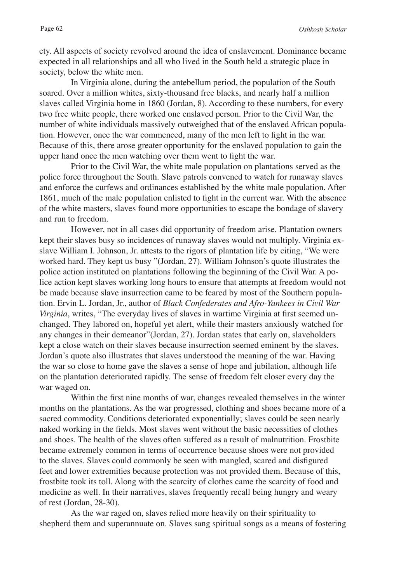ety. All aspects of society revolved around the idea of enslavement. Dominance became expected in all relationships and all who lived in the South held a strategic place in society, below the white men.

In Virginia alone, during the antebellum period, the population of the South soared. Over a million whites, sixty-thousand free blacks, and nearly half a million slaves called Virginia home in 1860 (Jordan, 8). According to these numbers, for every two free white people, there worked one enslaved person. Prior to the Civil War, the number of white individuals massively outweighed that of the enslaved African population. However, once the war commenced, many of the men left to fight in the war. Because of this, there arose greater opportunity for the enslaved population to gain the upper hand once the men watching over them went to fight the war.

Prior to the Civil War, the white male population on plantations served as the police force throughout the South. Slave patrols convened to watch for runaway slaves and enforce the curfews and ordinances established by the white male population. After 1861, much of the male population enlisted to fight in the current war. With the absence of the white masters, slaves found more opportunities to escape the bondage of slavery and run to freedom.

However, not in all cases did opportunity of freedom arise. Plantation owners kept their slaves busy so incidences of runaway slaves would not multiply. Virginia exslave William I. Johnson, Jr. attests to the rigors of plantation life by citing, "We were worked hard. They kept us busy "(Jordan, 27). William Johnson's quote illustrates the police action instituted on plantations following the beginning of the Civil War. A police action kept slaves working long hours to ensure that attempts at freedom would not be made because slave insurrection came to be feared by most of the Southern population. Ervin L. Jordan, Jr., author of *Black Confederates and Afro-Yankees in Civil War Virginia*, writes, "The everyday lives of slaves in wartime Virginia at first seemed unchanged. They labored on, hopeful yet alert, while their masters anxiously watched for any changes in their demeanor"(Jordan, 27). Jordan states that early on, slaveholders kept a close watch on their slaves because insurrection seemed eminent by the slaves. Jordan's quote also illustrates that slaves understood the meaning of the war. Having the war so close to home gave the slaves a sense of hope and jubilation, although life on the plantation deteriorated rapidly. The sense of freedom felt closer every day the war waged on.

Within the first nine months of war, changes revealed themselves in the winter months on the plantations. As the war progressed, clothing and shoes became more of a sacred commodity. Conditions deteriorated exponentially; slaves could be seen nearly naked working in the fields. Most slaves went without the basic necessities of clothes and shoes. The health of the slaves often suffered as a result of malnutrition. Frostbite became extremely common in terms of occurrence because shoes were not provided to the slaves. Slaves could commonly be seen with mangled, scared and disfigured feet and lower extremities because protection was not provided them. Because of this, frostbite took its toll. Along with the scarcity of clothes came the scarcity of food and medicine as well. In their narratives, slaves frequently recall being hungry and weary of rest (Jordan, 28-30).

As the war raged on, slaves relied more heavily on their spirituality to shepherd them and superannuate on. Slaves sang spiritual songs as a means of fostering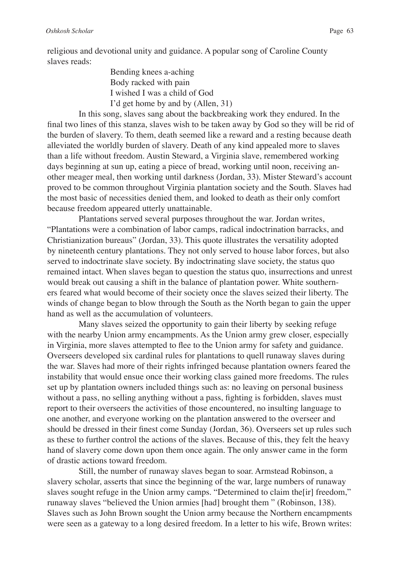religious and devotional unity and guidance. A popular song of Caroline County slaves reads:

> Bending knees a-aching Body racked with pain I wished I was a child of God I'd get home by and by (Allen, 31)

In this song, slaves sang about the backbreaking work they endured. In the final two lines of this stanza, slaves wish to be taken away by God so they will be rid of the burden of slavery. To them, death seemed like a reward and a resting because death alleviated the worldly burden of slavery. Death of any kind appealed more to slaves than a life without freedom. Austin Steward, a Virginia slave, remembered working days beginning at sun up, eating a piece of bread, working until noon, receiving another meager meal, then working until darkness (Jordan, 33). Mister Steward's account proved to be common throughout Virginia plantation society and the South. Slaves had the most basic of necessities denied them, and looked to death as their only comfort because freedom appeared utterly unattainable.

Plantations served several purposes throughout the war. Jordan writes, "Plantations were a combination of labor camps, radical indoctrination barracks, and Christianization bureaus" (Jordan, 33). This quote illustrates the versatility adopted by nineteenth century plantations. They not only served to house labor forces, but also served to indoctrinate slave society. By indoctrinating slave society, the status quo remained intact. When slaves began to question the status quo, insurrections and unrest would break out causing a shift in the balance of plantation power. White southerners feared what would become of their society once the slaves seized their liberty. The winds of change began to blow through the South as the North began to gain the upper hand as well as the accumulation of volunteers.

Many slaves seized the opportunity to gain their liberty by seeking refuge with the nearby Union army encampments. As the Union army grew closer, especially in Virginia, more slaves attempted to flee to the Union army for safety and guidance. Overseers developed six cardinal rules for plantations to quell runaway slaves during the war. Slaves had more of their rights infringed because plantation owners feared the instability that would ensue once their working class gained more freedoms. The rules set up by plantation owners included things such as: no leaving on personal business without a pass, no selling anything without a pass, fighting is forbidden, slaves must report to their overseers the activities of those encountered, no insulting language to one another, and everyone working on the plantation answered to the overseer and should be dressed in their finest come Sunday (Jordan, 36). Overseers set up rules such as these to further control the actions of the slaves. Because of this, they felt the heavy hand of slavery come down upon them once again. The only answer came in the form of drastic actions toward freedom.

Still, the number of runaway slaves began to soar. Armstead Robinson, a slavery scholar, asserts that since the beginning of the war, large numbers of runaway slaves sought refuge in the Union army camps. "Determined to claim the[ir] freedom," runaway slaves "believed the Union armies [had] brought them " (Robinson, 138). Slaves such as John Brown sought the Union army because the Northern encampments were seen as a gateway to a long desired freedom. In a letter to his wife, Brown writes: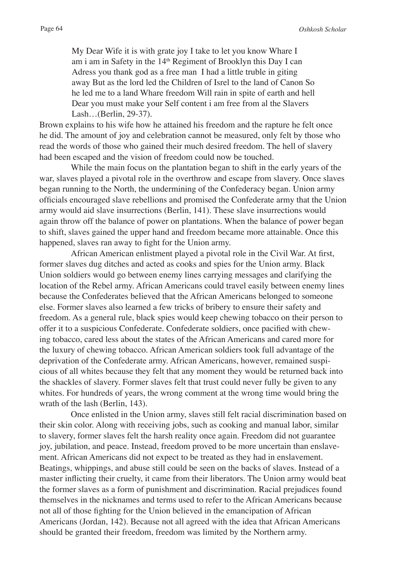My Dear Wife it is with grate joy I take to let you know Whare I am i am in Safety in the 14<sup>th</sup> Regiment of Brooklyn this Day I can Adress you thank god as a free man I had a little truble in giting away But as the lord led the Children of Isrel to the land of Canon So he led me to a land Whare freedom Will rain in spite of earth and hell Dear you must make your Self content i am free from al the Slavers Lash…(Berlin, 29-37).

Brown explains to his wife how he attained his freedom and the rapture he felt once he did. The amount of joy and celebration cannot be measured, only felt by those who read the words of those who gained their much desired freedom. The hell of slavery had been escaped and the vision of freedom could now be touched.

While the main focus on the plantation began to shift in the early years of the war, slaves played a pivotal role in the overthrow and escape from slavery. Once slaves began running to the North, the undermining of the Confederacy began. Union army officials encouraged slave rebellions and promised the Confederate army that the Union army would aid slave insurrections (Berlin, 141). These slave insurrections would again throw off the balance of power on plantations. When the balance of power began to shift, slaves gained the upper hand and freedom became more attainable. Once this happened, slaves ran away to fight for the Union army.

African American enlistment played a pivotal role in the Civil War. At first, former slaves dug ditches and acted as cooks and spies for the Union army. Black Union soldiers would go between enemy lines carrying messages and clarifying the location of the Rebel army. African Americans could travel easily between enemy lines because the Confederates believed that the African Americans belonged to someone else. Former slaves also learned a few tricks of bribery to ensure their safety and freedom. As a general rule, black spies would keep chewing tobacco on their person to offer it to a suspicious Confederate. Confederate soldiers, once pacified with chewing tobacco, cared less about the states of the African Americans and cared more for the luxury of chewing tobacco. African American soldiers took full advantage of the deprivation of the Confederate army. African Americans, however, remained suspicious of all whites because they felt that any moment they would be returned back into the shackles of slavery. Former slaves felt that trust could never fully be given to any whites. For hundreds of years, the wrong comment at the wrong time would bring the wrath of the lash (Berlin, 143).

Once enlisted in the Union army, slaves still felt racial discrimination based on their skin color. Along with receiving jobs, such as cooking and manual labor, similar to slavery, former slaves felt the harsh reality once again. Freedom did not guarantee joy, jubilation, and peace. Instead, freedom proved to be more uncertain than enslavement. African Americans did not expect to be treated as they had in enslavement. Beatings, whippings, and abuse still could be seen on the backs of slaves. Instead of a master inflicting their cruelty, it came from their liberators. The Union army would beat the former slaves as a form of punishment and discrimination. Racial prejudices found themselves in the nicknames and terms used to refer to the African Americans because not all of those fighting for the Union believed in the emancipation of African Americans (Jordan, 142). Because not all agreed with the idea that African Americans should be granted their freedom, freedom was limited by the Northern army.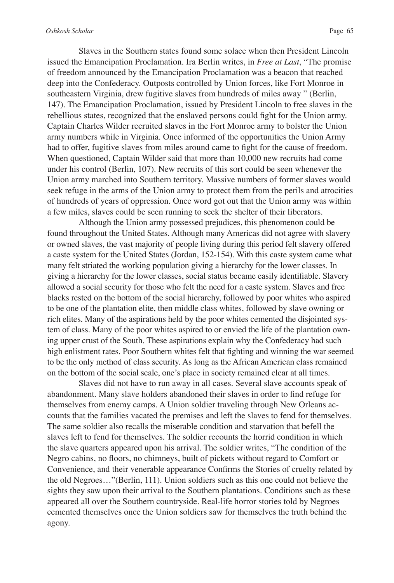Slaves in the Southern states found some solace when then President Lincoln issued the Emancipation Proclamation. Ira Berlin writes, in *Free at Last*, "The promise of freedom announced by the Emancipation Proclamation was a beacon that reached deep into the Confederacy. Outposts controlled by Union forces, like Fort Monroe in southeastern Virginia, drew fugitive slaves from hundreds of miles away " (Berlin, 147). The Emancipation Proclamation, issued by President Lincoln to free slaves in the rebellious states, recognized that the enslaved persons could fight for the Union army. Captain Charles Wilder recruited slaves in the Fort Monroe army to bolster the Union army numbers while in Virginia. Once informed of the opportunities the Union Army had to offer, fugitive slaves from miles around came to fight for the cause of freedom. When questioned, Captain Wilder said that more than 10,000 new recruits had come under his control (Berlin, 107). New recruits of this sort could be seen whenever the Union army marched into Southern territory. Massive numbers of former slaves would seek refuge in the arms of the Union army to protect them from the perils and atrocities of hundreds of years of oppression. Once word got out that the Union army was within a few miles, slaves could be seen running to seek the shelter of their liberators.

Although the Union army possessed prejudices, this phenomenon could be found throughout the United States. Although many Americas did not agree with slavery or owned slaves, the vast majority of people living during this period felt slavery offered a caste system for the United States (Jordan, 152-154). With this caste system came what many felt striated the working population giving a hierarchy for the lower classes. In giving a hierarchy for the lower classes, social status became easily identifiable. Slavery allowed a social security for those who felt the need for a caste system. Slaves and free blacks rested on the bottom of the social hierarchy, followed by poor whites who aspired to be one of the plantation elite, then middle class whites, followed by slave owning or rich elites. Many of the aspirations held by the poor whites cemented the disjointed system of class. Many of the poor whites aspired to or envied the life of the plantation owning upper crust of the South. These aspirations explain why the Confederacy had such high enlistment rates. Poor Southern whites felt that fighting and winning the war seemed to be the only method of class security. As long as the African American class remained on the bottom of the social scale, one's place in society remained clear at all times.

Slaves did not have to run away in all cases. Several slave accounts speak of abandonment. Many slave holders abandoned their slaves in order to find refuge for themselves from enemy camps. A Union soldier traveling through New Orleans accounts that the families vacated the premises and left the slaves to fend for themselves. The same soldier also recalls the miserable condition and starvation that befell the slaves left to fend for themselves. The soldier recounts the horrid condition in which the slave quarters appeared upon his arrival. The soldier writes, "The condition of the Negro cabins, no floors, no chimneys, built of pickets without regard to Comfort or Convenience, and their venerable appearance Confirms the Stories of cruelty related by the old Negroes…"(Berlin, 111). Union soldiers such as this one could not believe the sights they saw upon their arrival to the Southern plantations. Conditions such as these appeared all over the Southern countryside. Real-life horror stories told by Negroes cemented themselves once the Union soldiers saw for themselves the truth behind the agony.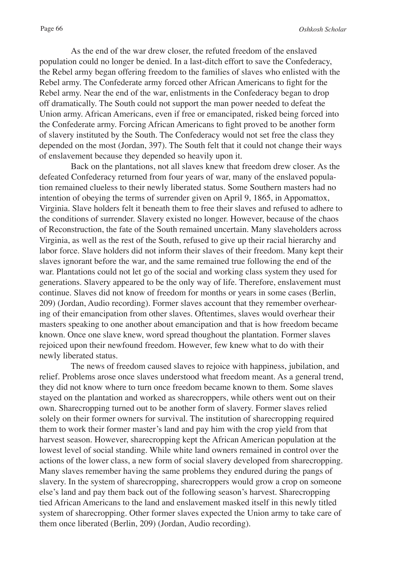As the end of the war drew closer, the refuted freedom of the enslaved population could no longer be denied. In a last-ditch effort to save the Confederacy, the Rebel army began offering freedom to the families of slaves who enlisted with the Rebel army. The Confederate army forced other African Americans to fight for the Rebel army. Near the end of the war, enlistments in the Confederacy began to drop off dramatically. The South could not support the man power needed to defeat the Union army. African Americans, even if free or emancipated, risked being forced into the Confederate army. Forcing African Americans to fight proved to be another form of slavery instituted by the South. The Confederacy would not set free the class they depended on the most (Jordan, 397). The South felt that it could not change their ways of enslavement because they depended so heavily upon it.

Back on the plantations, not all slaves knew that freedom drew closer. As the defeated Confederacy returned from four years of war, many of the enslaved population remained clueless to their newly liberated status. Some Southern masters had no intention of obeying the terms of surrender given on April 9, 1865, in Appomattox, Virginia. Slave holders felt it beneath them to free their slaves and refused to adhere to the conditions of surrender. Slavery existed no longer. However, because of the chaos of Reconstruction, the fate of the South remained uncertain. Many slaveholders across Virginia, as well as the rest of the South, refused to give up their racial hierarchy and labor force. Slave holders did not inform their slaves of their freedom. Many kept their slaves ignorant before the war, and the same remained true following the end of the war. Plantations could not let go of the social and working class system they used for generations. Slavery appeared to be the only way of life. Therefore, enslavement must continue. Slaves did not know of freedom for months or years in some cases (Berlin, 209) (Jordan, Audio recording). Former slaves account that they remember overhearing of their emancipation from other slaves. Oftentimes, slaves would overhear their masters speaking to one another about emancipation and that is how freedom became known. Once one slave knew, word spread thoughout the plantation. Former slaves rejoiced upon their newfound freedom. However, few knew what to do with their newly liberated status.

The news of freedom caused slaves to rejoice with happiness, jubilation, and relief. Problems arose once slaves understood what freedom meant. As a general trend, they did not know where to turn once freedom became known to them. Some slaves stayed on the plantation and worked as sharecroppers, while others went out on their own. Sharecropping turned out to be another form of slavery. Former slaves relied solely on their former owners for survival. The institution of sharecropping required them to work their former master's land and pay him with the crop yield from that harvest season. However, sharecropping kept the African American population at the lowest level of social standing. While white land owners remained in control over the actions of the lower class, a new form of social slavery developed from sharecropping. Many slaves remember having the same problems they endured during the pangs of slavery. In the system of sharecropping, sharecroppers would grow a crop on someone else's land and pay them back out of the following season's harvest. Sharecropping tied African Americans to the land and enslavement masked itself in this newly titled system of sharecropping. Other former slaves expected the Union army to take care of them once liberated (Berlin, 209) (Jordan, Audio recording).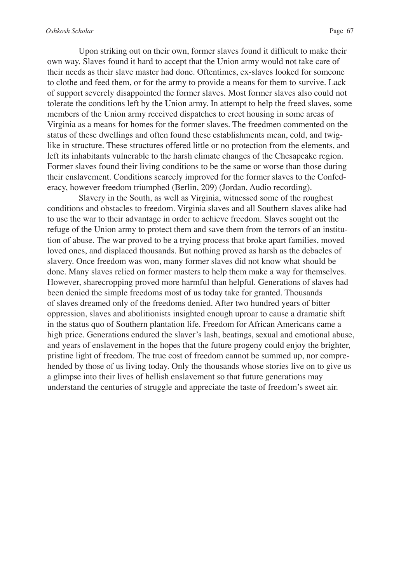Upon striking out on their own, former slaves found it difficult to make their own way. Slaves found it hard to accept that the Union army would not take care of their needs as their slave master had done. Oftentimes, ex-slaves looked for someone

to clothe and feed them, or for the army to provide a means for them to survive. Lack of support severely disappointed the former slaves. Most former slaves also could not tolerate the conditions left by the Union army. In attempt to help the freed slaves, some members of the Union army received dispatches to erect housing in some areas of Virginia as a means for homes for the former slaves. The freedmen commented on the status of these dwellings and often found these establishments mean, cold, and twiglike in structure. These structures offered little or no protection from the elements, and left its inhabitants vulnerable to the harsh climate changes of the Chesapeake region. Former slaves found their living conditions to be the same or worse than those during their enslavement. Conditions scarcely improved for the former slaves to the Confederacy, however freedom triumphed (Berlin, 209) (Jordan, Audio recording).

Slavery in the South, as well as Virginia, witnessed some of the roughest conditions and obstacles to freedom. Virginia slaves and all Southern slaves alike had to use the war to their advantage in order to achieve freedom. Slaves sought out the refuge of the Union army to protect them and save them from the terrors of an institution of abuse. The war proved to be a trying process that broke apart families, moved loved ones, and displaced thousands. But nothing proved as harsh as the debacles of slavery. Once freedom was won, many former slaves did not know what should be done. Many slaves relied on former masters to help them make a way for themselves. However, sharecropping proved more harmful than helpful. Generations of slaves had been denied the simple freedoms most of us today take for granted. Thousands of slaves dreamed only of the freedoms denied. After two hundred years of bitter oppression, slaves and abolitionists insighted enough uproar to cause a dramatic shift in the status quo of Southern plantation life. Freedom for African Americans came a high price. Generations endured the slaver's lash, beatings, sexual and emotional abuse, and years of enslavement in the hopes that the future progeny could enjoy the brighter, pristine light of freedom. The true cost of freedom cannot be summed up, nor comprehended by those of us living today. Only the thousands whose stories live on to give us a glimpse into their lives of hellish enslavement so that future generations may understand the centuries of struggle and appreciate the taste of freedom's sweet air.